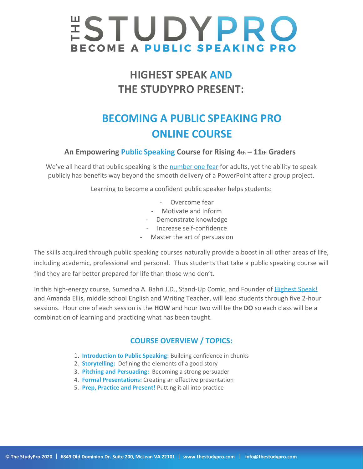# **ESTUDYPRO BECOME A PUBLIC SPEAKING PRO**

## **HIGHEST SPEAK AND THE STUDYPRO PRESENT:**

## **BECOMING A PUBLIC SPEAKING PRO ONLINE COURSE**

#### **An Empowering Public Speaking Course for Rising 4th – 11th Graders**

We've all heard that public speaking is the [number one fear](https://brandongaille.com/14-fear-public-speaking-statistics/) for adults, yet the ability to speak publicly has benefits way beyond the smooth delivery of a PowerPoint after a group project.

Learning to become a confident public speaker helps students:

- Overcome fear
- Motivate and Inform
- Demonstrate knowledge
- Increase self-confidence
- Master the art of persuasion

The skills acquired through public speaking courses naturally provide a boost in all other areas of life, including academic, professional and personal. Thus students that take a public speaking course will find they are far better prepared for life than those who don't.

In this high-energy course, Sumedha A. Bahri J.D., Stand-Up Comic, and Founder of [Highest Speak!](https://highestspeak.com/)  and Amanda Ellis, middle school English and Writing Teacher, will lead students through five 2-hour sessions. Hour one of each session is the **HOW** and hour two will be the **DO** so each class will be a combination of learning and practicing what has been taught.

#### **COURSE OVERVIEW / TOPICS:**

- 1. **Introduction to Public Speaking:** Building confidence in chunks
- 2. **Storytelling:** Defining the elements of a good story
- 3. **Pitching and Persuading:** Becoming a strong persuader
- 4. **Formal Presentations:** Creating an effective presentation
- 5. **Prep, Practice and Present!** Putting it all into practice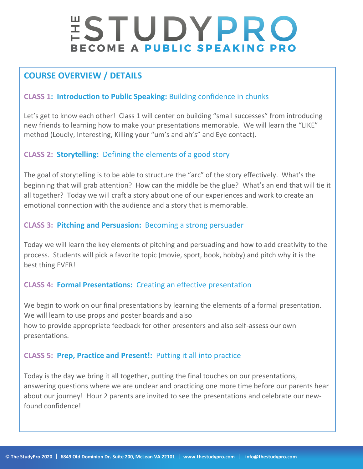# STUDYPRO **BECOME A PUBLIC SPEAKING PRO**

### **COURSE OVERVIEW / DETAILS**

#### **CLASS 1: Introduction to Public Speaking:** Building confidence in chunks

Let's get to know each other! Class 1 will center on building "small successes" from introducing new friends to learning how to make your presentations memorable. We will learn the "LIKE" method (Loudly, Interesting, Killing your "um's and ah's" and Eye contact).

#### **CLASS 2: Storytelling:** Defining the elements of a good story

The goal of storytelling is to be able to structure the "arc" of the story effectively. What's the beginning that will grab attention? How can the middle be the glue? What's an end that will tie it all together? Today we will craft a story about one of our experiences and work to create an emotional connection with the audience and a story that is memorable.

#### **CLASS 3: Pitching and Persuasion:** Becoming a strong persuader

Today we will learn the key elements of pitching and persuading and how to add creativity to the process. Students will pick a favorite topic (movie, sport, book, hobby) and pitch why it is the best thing EVER!

#### **CLASS 4: Formal Presentations:** Creating an effective presentation

We begin to work on our final presentations by learning the elements of a formal presentation. We will learn to use props and poster boards and also how to provide appropriate feedback for other presenters and also self-assess our own presentations.

#### **CLASS 5: Prep, Practice and Present!:** Putting it all into practice

Today is the day we bring it all together, putting the final touches on our presentations, answering questions where we are unclear and practicing one more time before our parents hear about our journey! Hour 2 parents are invited to see the presentations and celebrate our newfound confidence!